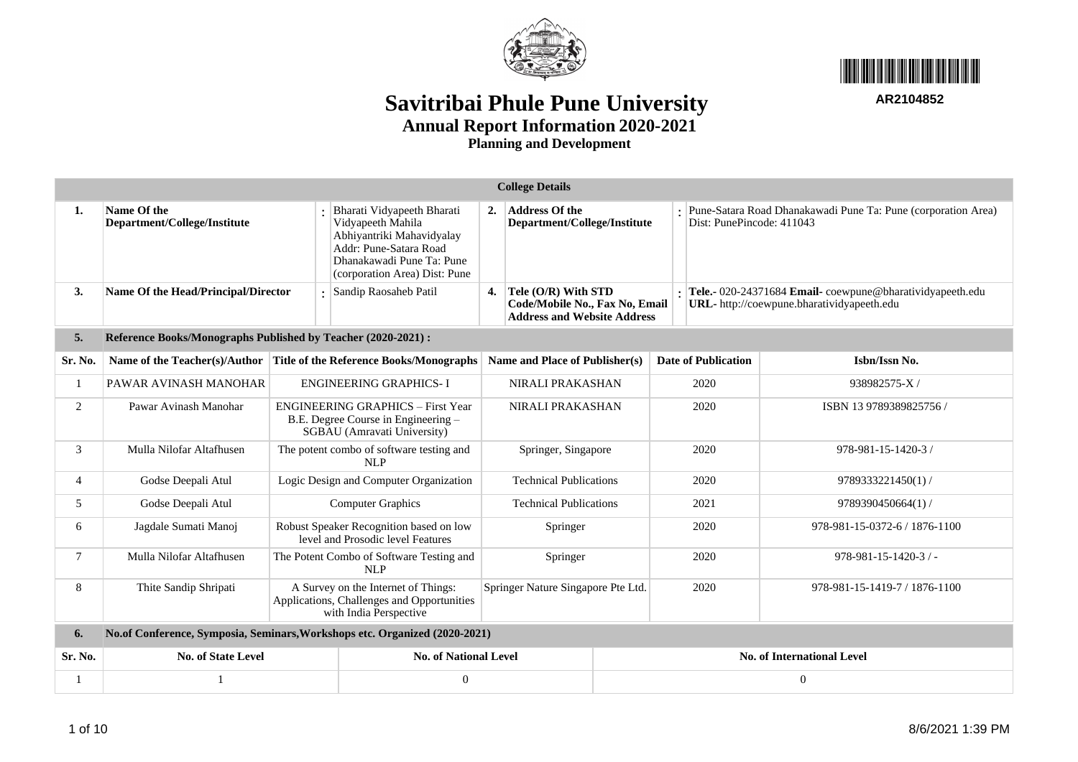



|                | <b>College Details</b>                                                     |                                                                                                                |                                                                                                                                                                      |    |                                                                                             |          |                                                                                                               |                                                                                            |      |                                   |  |  |
|----------------|----------------------------------------------------------------------------|----------------------------------------------------------------------------------------------------------------|----------------------------------------------------------------------------------------------------------------------------------------------------------------------|----|---------------------------------------------------------------------------------------------|----------|---------------------------------------------------------------------------------------------------------------|--------------------------------------------------------------------------------------------|------|-----------------------------------|--|--|
| 1.             | Name Of the<br>Department/College/Institute                                |                                                                                                                | Bharati Vidyapeeth Bharati<br>Vidyapeeth Mahila<br>Abhiyantriki Mahavidyalay<br>Addr: Pune-Satara Road<br>Dhanakawadi Pune Ta: Pune<br>(corporation Area) Dist: Pune | 2. | <b>Address Of the</b><br>Department/College/Institute                                       |          |                                                                                                               | Pune-Satara Road Dhanakawadi Pune Ta: Pune (corporation Area)<br>Dist: PunePincode: 411043 |      |                                   |  |  |
| 3.             | Name Of the Head/Principal/Director                                        |                                                                                                                | Sandip Raosaheb Patil                                                                                                                                                | 4. | Tele (O/R) With STD<br>Code/Mobile No., Fax No, Email<br><b>Address and Website Address</b> |          | Tele.- 020-24371684 Email-coewpune@bharatividyapeeth.edu<br><b>URL</b> -http://coewpune.bharatividyapeeth.edu |                                                                                            |      |                                   |  |  |
| 5.             | Reference Books/Monographs Published by Teacher (2020-2021) :              |                                                                                                                |                                                                                                                                                                      |    |                                                                                             |          |                                                                                                               |                                                                                            |      |                                   |  |  |
| Sr. No.        | Name of the Teacher(s)/Author                                              | Title of the Reference Books/Monographs                                                                        |                                                                                                                                                                      |    | Name and Place of Publisher(s)                                                              |          | <b>Date of Publication</b>                                                                                    |                                                                                            |      | Isbn/Issn No.                     |  |  |
|                | PAWAR AVINASH MANOHAR                                                      | <b>ENGINEERING GRAPHICS-I</b>                                                                                  |                                                                                                                                                                      |    | NIRALI PRAKASHAN                                                                            |          | 2020                                                                                                          |                                                                                            |      | 938982575-X/                      |  |  |
| 2              | Pawar Avinash Manohar                                                      | <b>ENGINEERING GRAPHICS - First Year</b><br>B.E. Degree Course in Engineering -<br>SGBAU (Amravati University) |                                                                                                                                                                      |    | NIRALI PRAKASHAN                                                                            |          | 2020                                                                                                          |                                                                                            |      | ISBN 13 9789389825756 /           |  |  |
| 3              | Mulla Nilofar Altafhusen                                                   | The potent combo of software testing and<br>NLP                                                                |                                                                                                                                                                      |    | Springer, Singapore                                                                         |          |                                                                                                               |                                                                                            | 2020 | 978-981-15-1420-3 /               |  |  |
| $\overline{4}$ | Godse Deepali Atul                                                         |                                                                                                                | Logic Design and Computer Organization                                                                                                                               |    | <b>Technical Publications</b>                                                               |          | 2020                                                                                                          |                                                                                            |      | 9789333221450(1)/                 |  |  |
| 5              | Godse Deepali Atul                                                         |                                                                                                                | <b>Computer Graphics</b>                                                                                                                                             |    | <b>Technical Publications</b>                                                               |          | 2021                                                                                                          |                                                                                            |      | 9789390450664(1)/                 |  |  |
| 6              | Jagdale Sumati Manoj                                                       |                                                                                                                | Robust Speaker Recognition based on low<br>level and Prosodic level Features                                                                                         |    | Springer                                                                                    |          | 2020                                                                                                          |                                                                                            |      | 978-981-15-0372-6 / 1876-1100     |  |  |
| $\tau$         | Mulla Nilofar Altafhusen                                                   |                                                                                                                | The Potent Combo of Software Testing and<br>NLP                                                                                                                      |    | Springer                                                                                    |          |                                                                                                               |                                                                                            | 2020 | $978 - 981 - 15 - 1420 - 3$ / -   |  |  |
| 8              | Thite Sandip Shripati                                                      | A Survey on the Internet of Things:<br>Applications, Challenges and Opportunities<br>with India Perspective    |                                                                                                                                                                      |    | Springer Nature Singapore Pte Ltd.                                                          |          | 2020                                                                                                          |                                                                                            |      | 978-981-15-1419-7 / 1876-1100     |  |  |
| 6.             | No.of Conference, Symposia, Seminars, Workshops etc. Organized (2020-2021) |                                                                                                                |                                                                                                                                                                      |    |                                                                                             |          |                                                                                                               |                                                                                            |      |                                   |  |  |
| Sr. No.        | <b>No. of State Level</b>                                                  |                                                                                                                | <b>No. of National Level</b>                                                                                                                                         |    |                                                                                             |          |                                                                                                               |                                                                                            |      | <b>No. of International Level</b> |  |  |
|                |                                                                            |                                                                                                                | $\overline{0}$                                                                                                                                                       |    |                                                                                             | $\Omega$ |                                                                                                               |                                                                                            |      |                                   |  |  |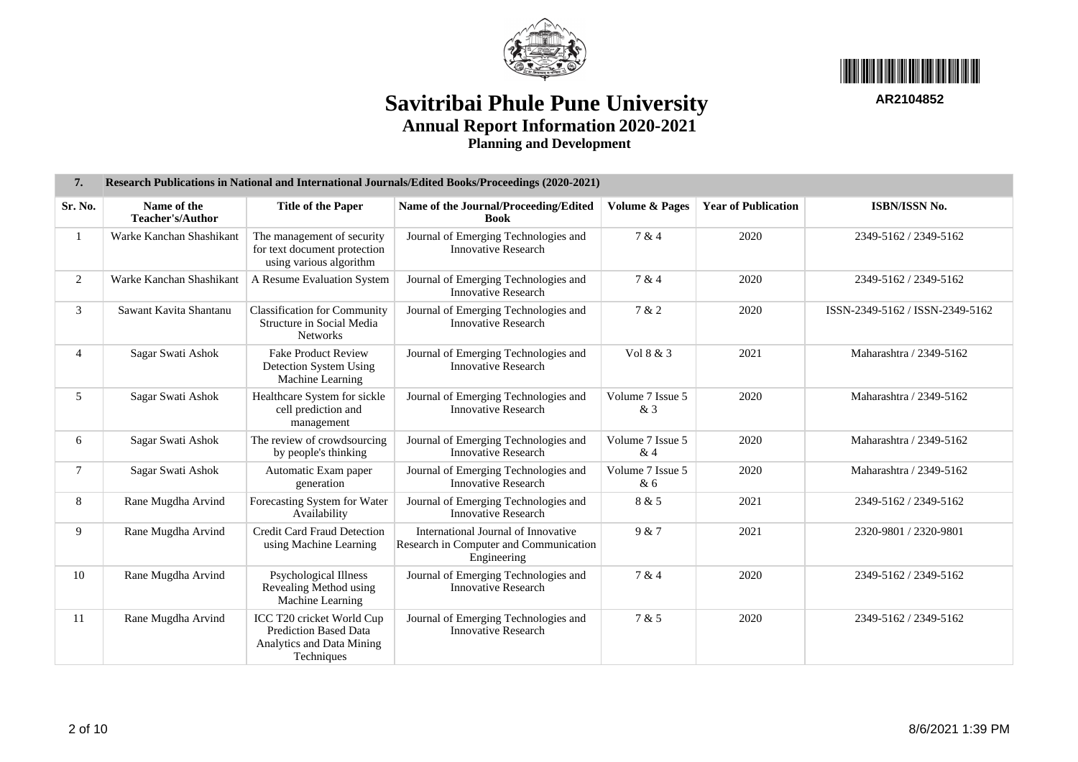



| 7.             | Research Publications in National and International Journals/Edited Books/Proceedings (2020-2021) |                                                                                                      |                                                                                              |                           |                            |                                 |  |  |  |  |  |  |  |
|----------------|---------------------------------------------------------------------------------------------------|------------------------------------------------------------------------------------------------------|----------------------------------------------------------------------------------------------|---------------------------|----------------------------|---------------------------------|--|--|--|--|--|--|--|
| Sr. No.        | Name of the<br>Teacher's/Author                                                                   | <b>Title of the Paper</b>                                                                            | Name of the Journal/Proceeding/Edited<br><b>Book</b>                                         | <b>Volume &amp; Pages</b> | <b>Year of Publication</b> | ISBN/ISSN No.                   |  |  |  |  |  |  |  |
|                | Warke Kanchan Shashikant                                                                          | The management of security<br>for text document protection<br>using various algorithm                | Journal of Emerging Technologies and<br><b>Innovative Research</b>                           | 7 & 4                     | 2020                       | 2349-5162 / 2349-5162           |  |  |  |  |  |  |  |
| $\overline{2}$ | Warke Kanchan Shashikant                                                                          | A Resume Evaluation System                                                                           | Journal of Emerging Technologies and<br><b>Innovative Research</b>                           | 7 & 4                     | 2020                       | 2349-5162 / 2349-5162           |  |  |  |  |  |  |  |
| 3              | Sawant Kavita Shantanu                                                                            | <b>Classification for Community</b><br>Structure in Social Media<br><b>Networks</b>                  | Journal of Emerging Technologies and<br><b>Innovative Research</b>                           | 7 & 2                     | 2020                       | ISSN-2349-5162 / ISSN-2349-5162 |  |  |  |  |  |  |  |
| $\overline{4}$ | Sagar Swati Ashok                                                                                 | <b>Fake Product Review</b><br>Detection System Using<br>Machine Learning                             | Journal of Emerging Technologies and<br><b>Innovative Research</b>                           | Vol 8 & 3                 | 2021                       | Maharashtra / 2349-5162         |  |  |  |  |  |  |  |
| 5              | Sagar Swati Ashok                                                                                 | Healthcare System for sickle<br>cell prediction and<br>management                                    | Journal of Emerging Technologies and<br><b>Innovative Research</b>                           | Volume 7 Issue 5<br>& 3   | 2020                       | Maharashtra / 2349-5162         |  |  |  |  |  |  |  |
| 6              | Sagar Swati Ashok                                                                                 | The review of crowdsourcing<br>by people's thinking                                                  | Journal of Emerging Technologies and<br><b>Innovative Research</b>                           | Volume 7 Issue 5<br>&4    | 2020                       | Maharashtra / 2349-5162         |  |  |  |  |  |  |  |
| $\tau$         | Sagar Swati Ashok                                                                                 | Automatic Exam paper<br>generation                                                                   | Journal of Emerging Technologies and<br><b>Innovative Research</b>                           | Volume 7 Issue 5<br>&6    | 2020                       | Maharashtra / 2349-5162         |  |  |  |  |  |  |  |
| 8              | Rane Mugdha Arvind                                                                                | Forecasting System for Water<br>Availability                                                         | Journal of Emerging Technologies and<br><b>Innovative Research</b>                           | 8 & 5                     | 2021                       | 2349-5162 / 2349-5162           |  |  |  |  |  |  |  |
| 9              | Rane Mugdha Arvind                                                                                | Credit Card Fraud Detection<br>using Machine Learning                                                | International Journal of Innovative<br>Research in Computer and Communication<br>Engineering | 9 & 7                     | 2021                       | 2320-9801 / 2320-9801           |  |  |  |  |  |  |  |
| 10             | Rane Mugdha Arvind                                                                                | Psychological Illness<br>Revealing Method using<br>Machine Learning                                  | Journal of Emerging Technologies and<br><b>Innovative Research</b>                           | 7 & 4                     | 2020                       | 2349-5162 / 2349-5162           |  |  |  |  |  |  |  |
| 11             | Rane Mugdha Arvind                                                                                | ICC T20 cricket World Cup<br><b>Prediction Based Data</b><br>Analytics and Data Mining<br>Techniques | Journal of Emerging Technologies and<br><b>Innovative Research</b>                           | 7 & 5                     | 2020                       | 2349-5162 / 2349-5162           |  |  |  |  |  |  |  |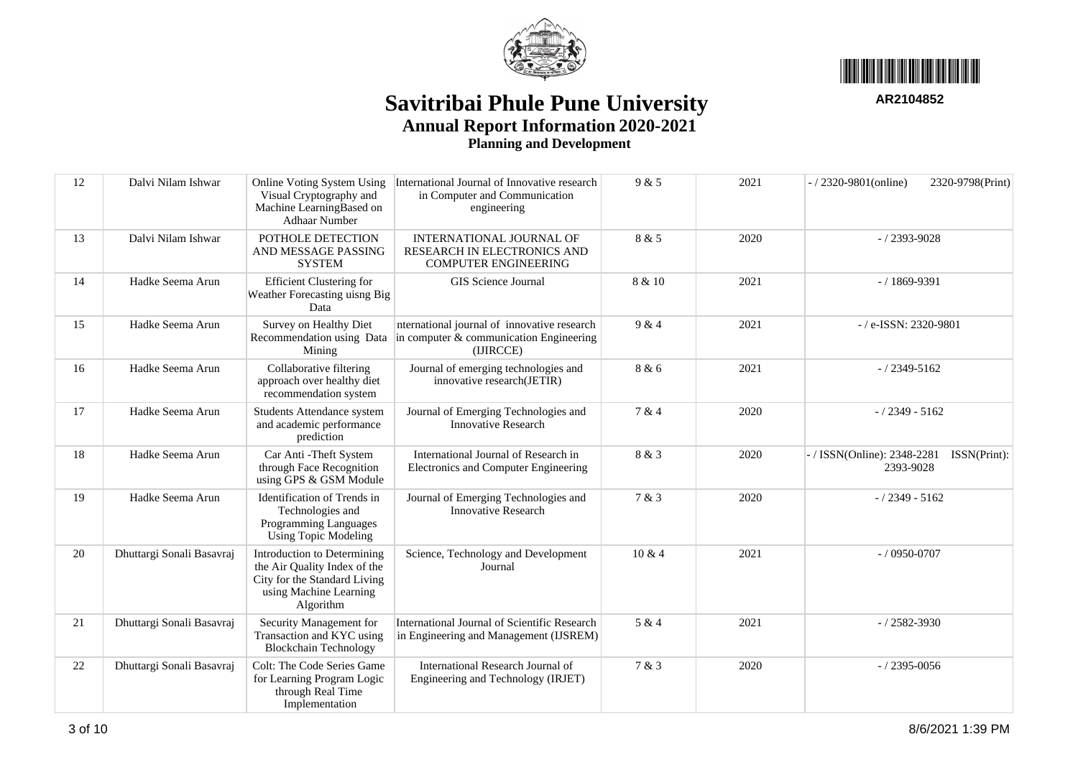



| 12 | Dalvi Nilam Ishwar        | Online Voting System Using<br>Visual Cryptography and<br>Machine LearningBased on<br><b>Adhaar Number</b>                          | International Journal of Innovative research<br>in Computer and Communication<br>engineering            | 9 & 5         | 2021            | $-$ / 2320-9801(online)<br>2320-9798(Print)            |
|----|---------------------------|------------------------------------------------------------------------------------------------------------------------------------|---------------------------------------------------------------------------------------------------------|---------------|-----------------|--------------------------------------------------------|
| 13 | Dalvi Nilam Ishwar        | POTHOLE DETECTION<br>AND MESSAGE PASSING<br><b>SYSTEM</b>                                                                          | INTERNATIONAL JOURNAL OF<br>8 & 5<br>2020<br>RESEARCH IN ELECTRONICS AND<br><b>COMPUTER ENGINEERING</b> |               | $-$ / 2393-9028 |                                                        |
| 14 | Hadke Seema Arun          | <b>Efficient Clustering for</b><br>Weather Forecasting uisng Big<br>Data                                                           | GIS Science Journal<br>8 & 10<br>2021                                                                   |               | $-/1869-9391$   |                                                        |
| 15 | Hadke Seema Arun          | Survey on Healthy Diet<br>Recommendation using Data<br>Mining                                                                      | nternational journal of innovative research<br>in computer $&$ communication Engineering<br>(IJIRCCE)   | 9 & 4<br>2021 |                 | -/e-ISSN: 2320-9801                                    |
| 16 | Hadke Seema Arun          | Collaborative filtering<br>approach over healthy diet<br>recommendation system                                                     | Journal of emerging technologies and<br>innovative research(JETIR)                                      | 8 & 6         | 2021            | $-/2349 - 5162$                                        |
| 17 | Hadke Seema Arun          | Students Attendance system<br>and academic performance<br>prediction                                                               | Journal of Emerging Technologies and<br><b>Innovative Research</b>                                      | 7 & 4         | 2020            | $-/2349 - 5162$                                        |
| 18 | Hadke Seema Arun          | Car Anti - Theft System<br>through Face Recognition<br>using GPS & GSM Module                                                      | International Journal of Research in<br>Electronics and Computer Engineering                            | 8 & 3         | 2020            | / ISSN(Online): 2348-2281<br>ISSN(Print):<br>2393-9028 |
| 19 | Hadke Seema Arun          | Identification of Trends in<br>Technologies and<br>Programming Languages<br><b>Using Topic Modeling</b>                            | Journal of Emerging Technologies and<br><b>Innovative Research</b>                                      | 7 & 3         | 2020            | $-/2349 - 5162$                                        |
| 20 | Dhuttargi Sonali Basavraj | Introduction to Determining<br>the Air Quality Index of the<br>City for the Standard Living<br>using Machine Learning<br>Algorithm | Science, Technology and Development<br>Journal                                                          | 10 & 4        | 2021            | $-$ / 0950-0707                                        |
| 21 | Dhuttargi Sonali Basavraj | Security Management for<br>Transaction and KYC using<br><b>Blockchain Technology</b>                                               | International Journal of Scientific Research<br>in Engineering and Management (IJSREM)                  | 5 & 4         | 2021            | $- / 2582 - 3930$                                      |
| 22 | Dhuttargi Sonali Basavraj | Colt: The Code Series Game<br>for Learning Program Logic<br>through Real Time<br>Implementation                                    | International Research Journal of<br>Engineering and Technology (IRJET)                                 | 7 & 3         | 2020            | $-/2395 - 0056$                                        |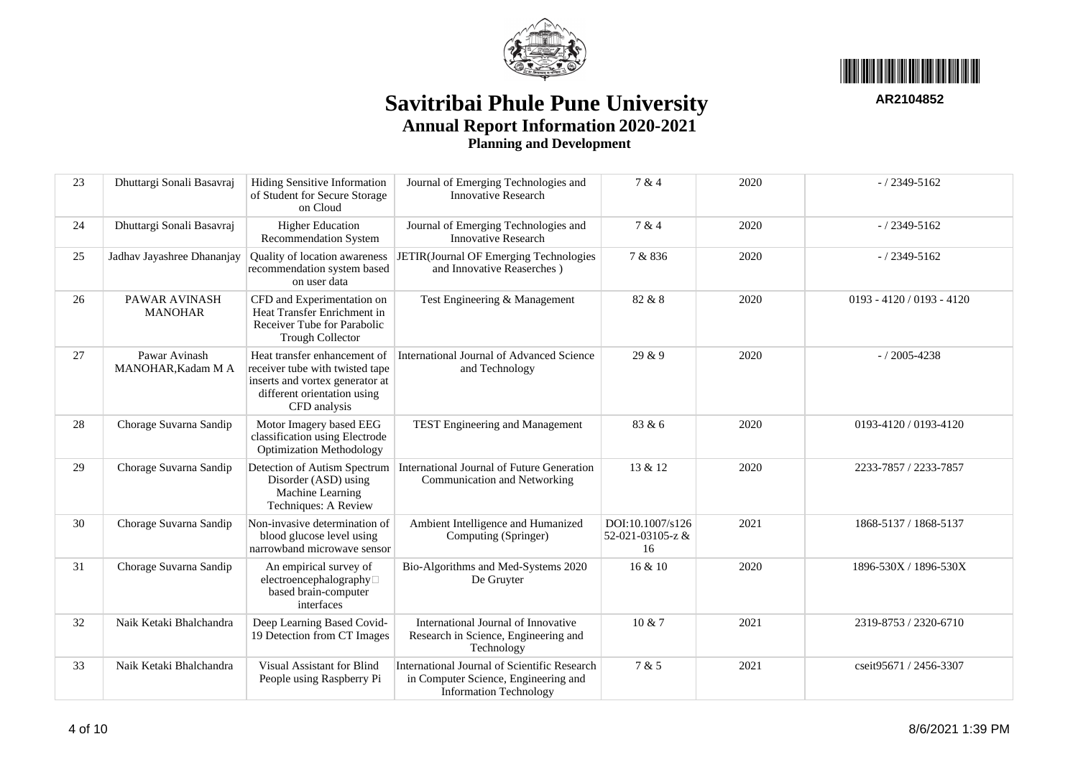



| 23 | Dhuttargi Sonali Basavraj           | Hiding Sensitive Information<br>of Student for Secure Storage<br>on Cloud                                                                         | Journal of Emerging Technologies and<br><b>Innovative Research</b>                                                    | 7 & 4                                      | 2020 | $-/2349 - 5162$             |
|----|-------------------------------------|---------------------------------------------------------------------------------------------------------------------------------------------------|-----------------------------------------------------------------------------------------------------------------------|--------------------------------------------|------|-----------------------------|
| 24 | Dhuttargi Sonali Basavraj           | <b>Higher Education</b><br>Recommendation System                                                                                                  | Journal of Emerging Technologies and<br><b>Innovative Research</b>                                                    | 7 & 4                                      | 2020 | $-/2349 - 5162$             |
| 25 | Jadhav Jayashree Dhananjay          | Quality of location awareness<br>recommendation system based<br>on user data                                                                      | JETIR(Journal OF Emerging Technologies<br>and Innovative Reaserches)                                                  | 7 & 836                                    | 2020 | $-/2349 - 5162$             |
| 26 | PAWAR AVINASH<br><b>MANOHAR</b>     | CFD and Experimentation on<br>Heat Transfer Enrichment in<br>Receiver Tube for Parabolic<br><b>Trough Collector</b>                               | Test Engineering & Management                                                                                         | 82 & 8                                     | 2020 | $0193 - 4120 / 0193 - 4120$ |
| 27 | Pawar Avinash<br>MANOHAR, Kadam M A | Heat transfer enhancement of<br>receiver tube with twisted tape<br>inserts and vortex generator at<br>different orientation using<br>CFD analysis | International Journal of Advanced Science<br>and Technology                                                           | 29 & 9                                     | 2020 | $-/2005 - 4238$             |
| 28 | Chorage Suvarna Sandip              | Motor Imagery based EEG<br>classification using Electrode<br><b>Optimization Methodology</b>                                                      | TEST Engineering and Management                                                                                       | 83 & 6                                     | 2020 | 0193-4120 / 0193-4120       |
| 29 | Chorage Suvarna Sandip              | Detection of Autism Spectrum<br>Disorder (ASD) using<br>Machine Learning<br>Techniques: A Review                                                  | International Journal of Future Generation<br>Communication and Networking                                            | 13 & 12                                    | 2020 | 2233-7857 / 2233-7857       |
| 30 | Chorage Suvarna Sandip              | Non-invasive determination of<br>blood glucose level using<br>narrowband microwave sensor                                                         | Ambient Intelligence and Humanized<br>Computing (Springer)                                                            | DOI:10.1007/s126<br>52-021-03105-z &<br>16 | 2021 | 1868-5137 / 1868-5137       |
| 31 | Chorage Suvarna Sandip              | An empirical survey of<br>electroencephalography□<br>based brain-computer<br>interfaces                                                           | Bio-Algorithms and Med-Systems 2020<br>De Gruyter                                                                     | 16 & 10                                    | 2020 | 1896-530X / 1896-530X       |
| 32 | Naik Ketaki Bhalchandra             | Deep Learning Based Covid-<br>19 Detection from CT Images                                                                                         | International Journal of Innovative<br>Research in Science, Engineering and<br>Technology                             | 10 & 7                                     | 2021 | 2319-8753 / 2320-6710       |
| 33 | Naik Ketaki Bhalchandra             | Visual Assistant for Blind<br>People using Raspberry Pi                                                                                           | International Journal of Scientific Research<br>in Computer Science, Engineering and<br><b>Information Technology</b> | 7 & 5                                      | 2021 | cseit95671 / 2456-3307      |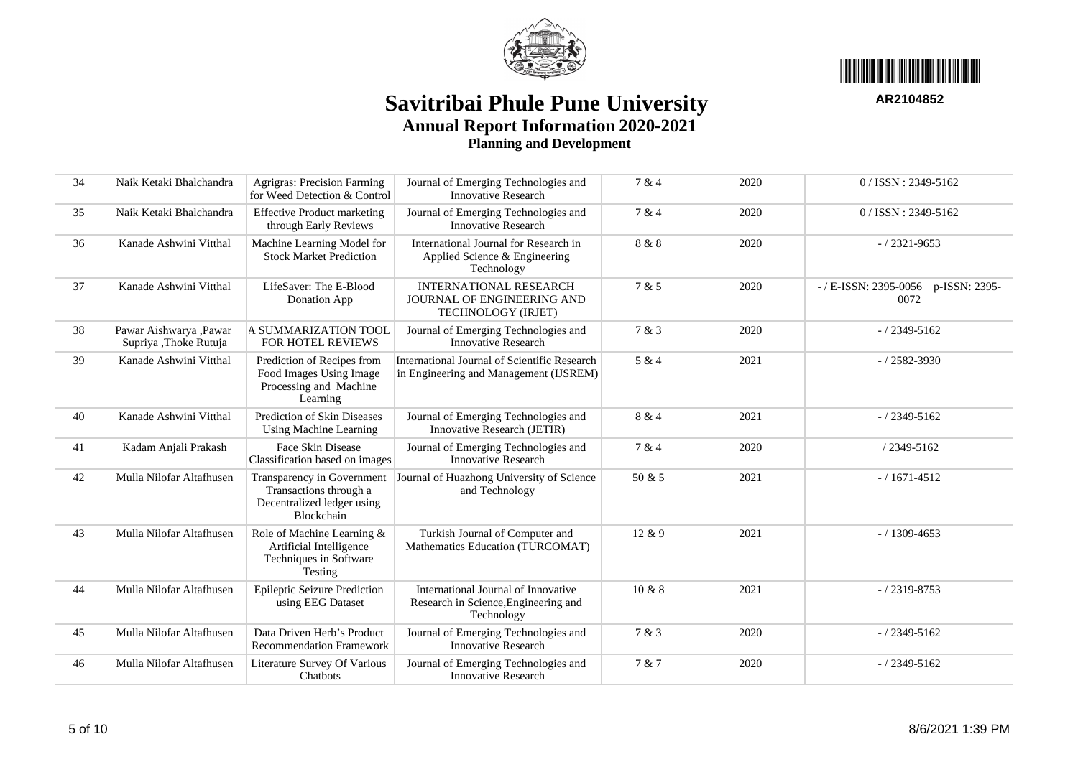



34 Naik Ketaki Bhalchandra Agrigras: Precision Farming for Weed Detection & Control Journal of Emerging Technologies and Innovative Research 7 & 4 2020 0 / ISSN : 2349-5162 35 Naik Ketaki Bhalchandra Effective Product marketing through Early Reviews Journal of Emerging Technologies and Innovative Research 7 & 4 2020 0 / ISSN : 2349-5162 36 Kanade Ashwini Vitthal Machine Learning Model for Stock Market Prediction International Journal for Research in Applied Science & Engineering Technology 8 & 8 2020 - / 2321-9653 37 Kanade Ashwini Vitthal LifeSaver: The E-Blood Donation App INTERNATIONAL RESEARCH JOURNAL OF ENGINEERING AND TECHNOLOGY (IRJET) 7 & 5 2020 - / E-ISSN: 2395-0056 p-ISSN: 2395-0072 38 Pawar Aishwarya ,Pawar Supriya ,Thoke Rutuja A SUMMARIZATION TOOL FOR HOTEL REVIEWS Journal of Emerging Technologies and Innovative Research  $7 & 3 & 2020 & 7 & 72349-5162$ 39 Kanade Ashwini Vitthal Prediction of Recipes from Food Images Using Image Processing and Machine Learning International Journal of Scientific Research in Engineering and Management (IJSREM)  $5 \& 4$  2021 -  $/ 2582 - 3930$ 40 Kanade Ashwini Vitthal Prediction of Skin Diseases Using Machine Learning Journal of Emerging Technologies and Innovative Research (JETIR)  $8 & 4 \qquad \qquad 2021 \qquad \qquad 1 \qquad \qquad -12349-5162$ 41 Kadam Anjali Prakash Face Skin Disease Classification based on images Journal of Emerging Technologies and Innovative Research  $7 & 4 & 2020 & 7349-5162$ 42 Mulla Nilofar Altafhusen Transparency in Government Journal of Huazhong University of Science Transactions through a Decentralized ledger using Blockchain and Technology  $50 \& 5$  2021 - 1671-4512 43 Mulla Nilofar Altafhusen Role of Machine Learning & Artificial Intelligence Techniques in Software Testing Turkish Journal of Computer and Mathematics Education (TURCOMAT)  $12 \& 9$   $2021$   $-1309-4653$ 44 Mulla Nilofar Altafhusen Epileptic Seizure Prediction using EEG Dataset International Journal of Innovative Research in Science,Engineering and Technology  $10 \& 8$  2021  $-$ /2319-8753 45 Mulla Nilofar Altafhusen Data Driven Herb's Product Recommendation Framework Journal of Emerging Technologies and Innovative Research  $7 & 3 & 2020 & 7 & 2349-5162$ 46 Mulla Nilofar Altafhusen Literature Survey Of Various **Chatbots** Journal of Emerging Technologies and Innovative Research 7 & 7 2020 - / 2349-5162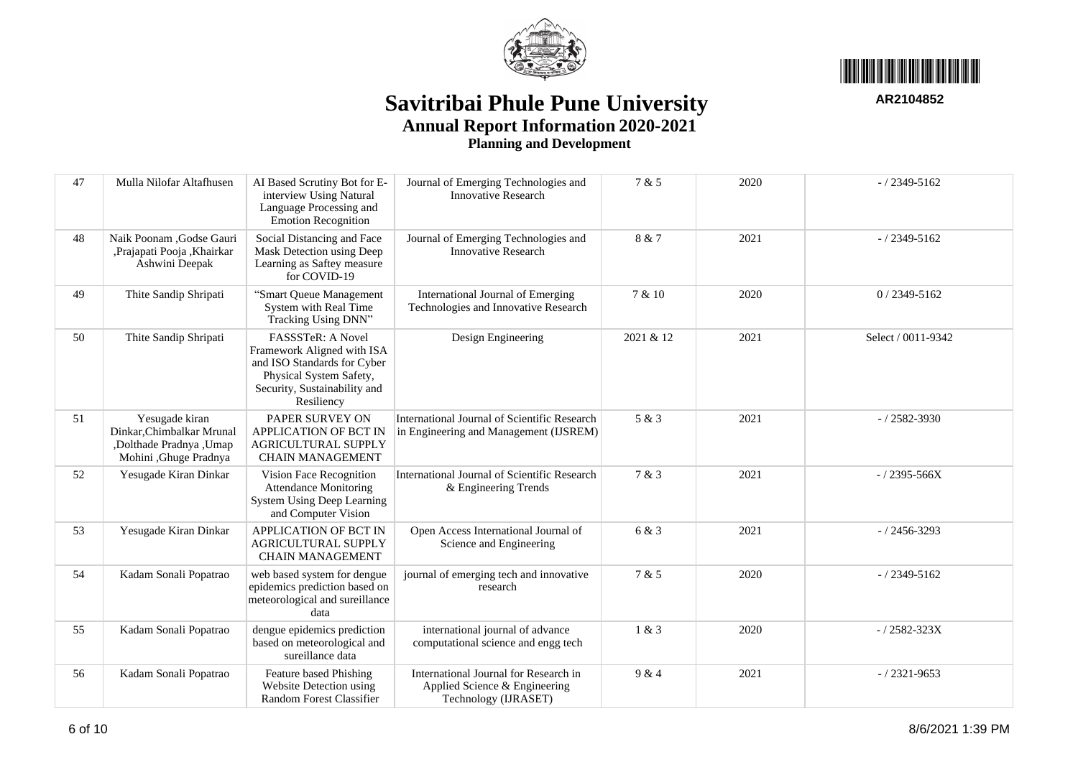



| 47 | Mulla Nilofar Altafhusen                                                                        | AI Based Scrutiny Bot for E-<br>interview Using Natural<br>Language Processing and<br>Emotion Recognition                                               | Journal of Emerging Technologies and<br><b>Innovative Research</b>                             | 7 & 5     | 2020 | $-/2349 - 5162$    |
|----|-------------------------------------------------------------------------------------------------|---------------------------------------------------------------------------------------------------------------------------------------------------------|------------------------------------------------------------------------------------------------|-----------|------|--------------------|
| 48 | Naik Poonam , Godse Gauri<br>, Prajapati Pooja, Khairkar<br>Ashwini Deepak                      | Social Distancing and Face<br>Mask Detection using Deep<br>Learning as Saftey measure<br>for COVID-19                                                   | Journal of Emerging Technologies and<br><b>Innovative Research</b>                             | 8 & 7     | 2021 | $-/2349 - 5162$    |
| 49 | Thite Sandip Shripati                                                                           | "Smart Queue Management<br>System with Real Time<br>Tracking Using DNN"                                                                                 | International Journal of Emerging<br>Technologies and Innovative Research                      | 7 & 10    | 2020 | $0/2349 - 5162$    |
| 50 | Thite Sandip Shripati                                                                           | FASSSTeR: A Novel<br>Framework Aligned with ISA<br>and ISO Standards for Cyber<br>Physical System Safety,<br>Security, Sustainability and<br>Resiliency | Design Engineering                                                                             | 2021 & 12 | 2021 | Select / 0011-9342 |
| 51 | Yesugade kiran<br>Dinkar, Chimbalkar Mrunal<br>,Dolthade Pradnya, Umap<br>Mohini ,Ghuge Pradnya | PAPER SURVEY ON<br>APPLICATION OF BCT IN<br>AGRICULTURAL SUPPLY<br><b>CHAIN MANAGEMENT</b>                                                              | International Journal of Scientific Research<br>in Engineering and Management (IJSREM)         | 5 & 3     | 2021 | $- / 2582 - 3930$  |
| 52 | Yesugade Kiran Dinkar                                                                           | Vision Face Recognition<br><b>Attendance Monitoring</b><br><b>System Using Deep Learning</b><br>and Computer Vision                                     | International Journal of Scientific Research<br>& Engineering Trends                           | 7 & 3     | 2021 | $-$ / 2395-566X    |
| 53 | Yesugade Kiran Dinkar                                                                           | APPLICATION OF BCT IN<br>AGRICULTURAL SUPPLY<br><b>CHAIN MANAGEMENT</b>                                                                                 | Open Access International Journal of<br>Science and Engineering                                | 6 & 3     | 2021 | $-/2456 - 3293$    |
| 54 | Kadam Sonali Popatrao                                                                           | web based system for dengue<br>epidemics prediction based on<br>meteorological and sureillance<br>data                                                  | journal of emerging tech and innovative<br>research                                            | 7 & 5     | 2020 | $-/2349 - 5162$    |
| 55 | Kadam Sonali Popatrao                                                                           | dengue epidemics prediction<br>based on meteorological and<br>sureillance data                                                                          | international journal of advance<br>computational science and engg tech                        | 1 & 3     | 2020 | $-$ / 2582-323X    |
| 56 | Kadam Sonali Popatrao                                                                           | Feature based Phishing<br>Website Detection using<br>Random Forest Classifier                                                                           | International Journal for Research in<br>Applied Science & Engineering<br>Technology (IJRASET) | 9 & 4     | 2021 | $-$ / 2321-9653    |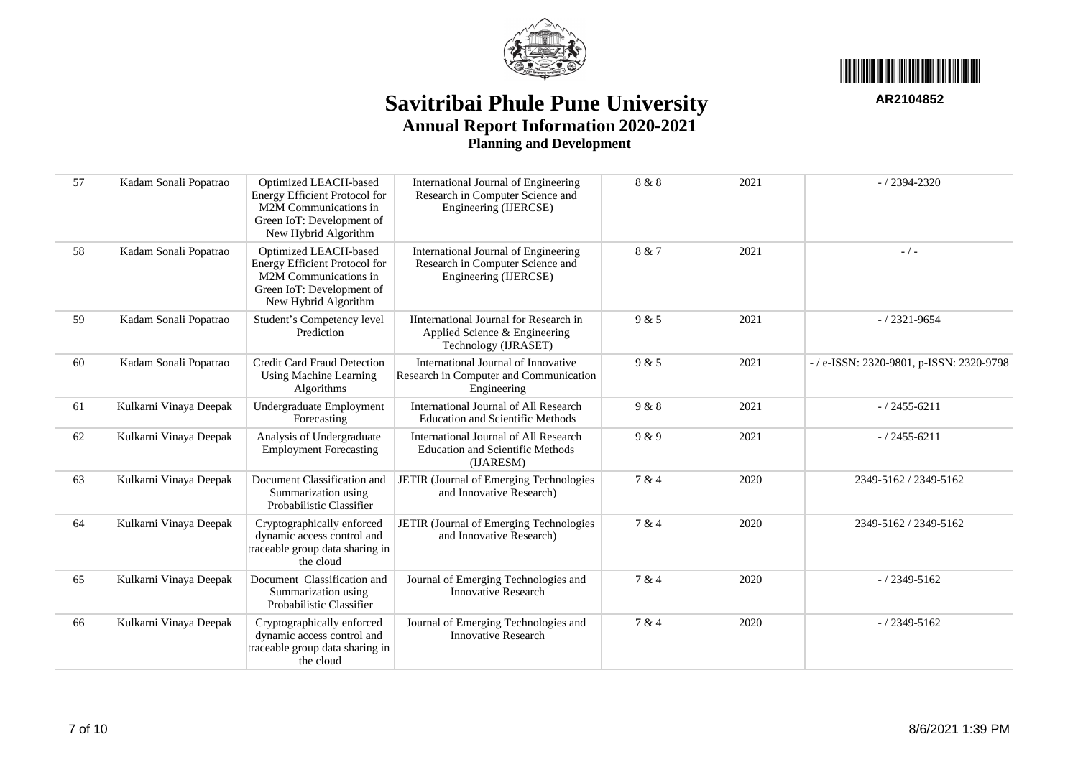



| 57 | Kadam Sonali Popatrao  | Optimized LEACH-based<br><b>Energy Efficient Protocol for</b><br>M2M Communications in<br>Green IoT: Development of<br>New Hybrid Algorithm | International Journal of Engineering<br>Research in Computer Science and<br>Engineering (IJERCSE)                | 8 & 8 | 2021            | $-$ / 2394-2320                            |
|----|------------------------|---------------------------------------------------------------------------------------------------------------------------------------------|------------------------------------------------------------------------------------------------------------------|-------|-----------------|--------------------------------------------|
| 58 | Kadam Sonali Popatrao  | Optimized LEACH-based<br><b>Energy Efficient Protocol for</b><br>M2M Communications in<br>Green IoT: Development of<br>New Hybrid Algorithm | 8 & 7<br>International Journal of Engineering<br>Research in Computer Science and<br>Engineering (IJERCSE)       |       | 2021            | $-$ / $-$                                  |
| 59 | Kadam Sonali Popatrao  | Student's Competency level<br>Prediction                                                                                                    | IInternational Journal for Research in<br>9 & 5<br>2021<br>Applied Science & Engineering<br>Technology (IJRASET) |       | $-$ / 2321-9654 |                                            |
| 60 | Kadam Sonali Popatrao  | <b>Credit Card Fraud Detection</b><br>Using Machine Learning<br>Algorithms                                                                  | International Journal of Innovative<br>Research in Computer and Communication<br>Engineering                     | 9 & 5 | 2021            | $-$ / e-ISSN: 2320-9801, p-ISSN: 2320-9798 |
| 61 | Kulkarni Vinaya Deepak | Undergraduate Employment<br>Forecasting                                                                                                     | International Journal of All Research<br><b>Education and Scientific Methods</b>                                 | 9 & 8 | 2021            | $-$ / 2455-6211                            |
| 62 | Kulkarni Vinaya Deepak | Analysis of Undergraduate<br><b>Employment Forecasting</b>                                                                                  | International Journal of All Research<br><b>Education and Scientific Methods</b><br>(IJARESM)                    | 9 & 9 | 2021            | $-$ / 2455-6211                            |
| 63 | Kulkarni Vinaya Deepak | Document Classification and<br>Summarization using<br>Probabilistic Classifier                                                              | JETIR (Journal of Emerging Technologies<br>and Innovative Research)                                              | 7 & 4 | 2020            | 2349-5162 / 2349-5162                      |
| 64 | Kulkarni Vinaya Deepak | Cryptographically enforced<br>dynamic access control and<br>traceable group data sharing in<br>the cloud                                    | JETIR (Journal of Emerging Technologies<br>and Innovative Research)                                              | 7 & 4 | 2020            | 2349-5162 / 2349-5162                      |
| 65 | Kulkarni Vinaya Deepak | Document Classification and<br>Summarization using<br>Probabilistic Classifier                                                              | Journal of Emerging Technologies and<br><b>Innovative Research</b>                                               | 7 & 4 | 2020            | $-$ / 2349-5162                            |
| 66 | Kulkarni Vinaya Deepak | Cryptographically enforced<br>dynamic access control and<br>traceable group data sharing in<br>the cloud                                    | Journal of Emerging Technologies and<br><b>Innovative Research</b>                                               | 7 & 4 | 2020            | $-/2349 - 5162$                            |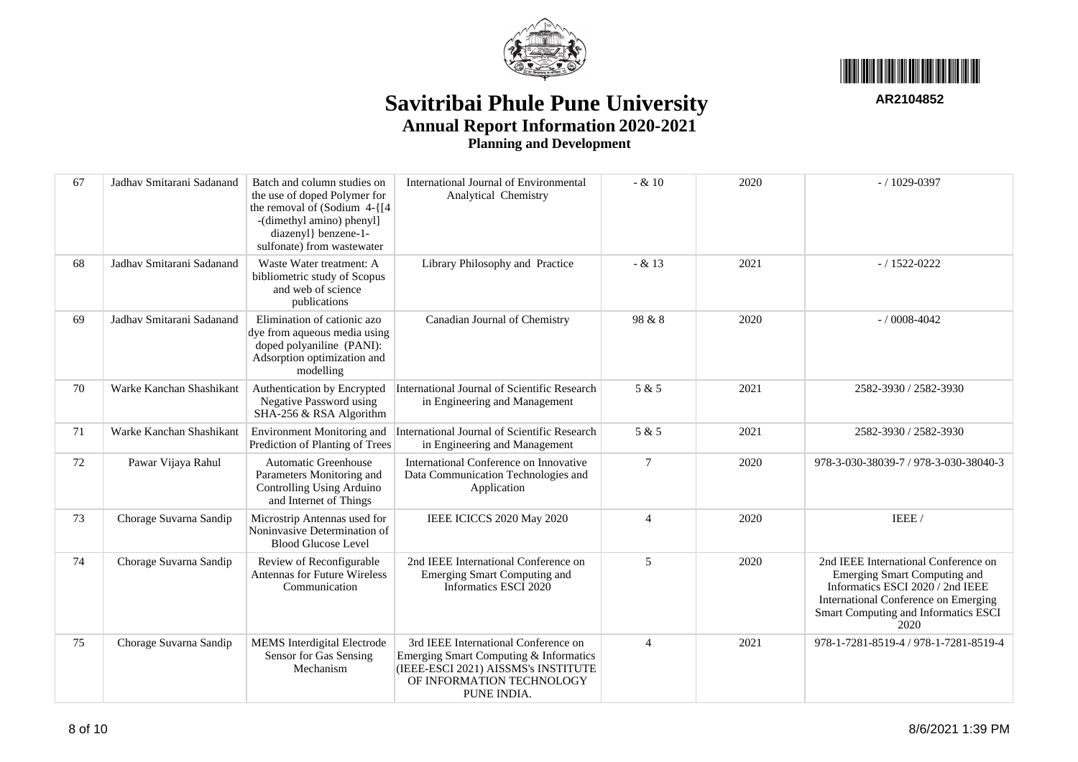



| 67 | Jadhav Smitarani Sadanand | Batch and column studies on<br>the use of doped Polymer for<br>the removal of (Sodium $4 - \{ [4]$<br>-(dimethyl amino) phenyl]<br>diazenyl} benzene-1-<br>sulfonate) from wastewater | International Journal of Environmental<br>Analytical Chemistry                                                                                                    | $- & 10$       | 2020 | $-/1029 - 0397$                                                                                                                                                                                  |
|----|---------------------------|---------------------------------------------------------------------------------------------------------------------------------------------------------------------------------------|-------------------------------------------------------------------------------------------------------------------------------------------------------------------|----------------|------|--------------------------------------------------------------------------------------------------------------------------------------------------------------------------------------------------|
| 68 | Jadhav Smitarani Sadanand | Waste Water treatment: A<br>bibliometric study of Scopus<br>and web of science<br>publications                                                                                        | Library Philosophy and Practice                                                                                                                                   | $- & 13$       | 2021 | $-/1522 - 0222$                                                                                                                                                                                  |
| 69 | Jadhav Smitarani Sadanand | Elimination of cationic azo<br>dye from aqueous media using<br>doped polyaniline (PANI):<br>Adsorption optimization and<br>modelling                                                  | Canadian Journal of Chemistry                                                                                                                                     | 98 & 8         | 2020 | $- / 0008 - 4042$                                                                                                                                                                                |
| 70 | Warke Kanchan Shashikant  | Authentication by Encrypted<br>Negative Password using<br>SHA-256 & RSA Algorithm                                                                                                     | International Journal of Scientific Research<br>in Engineering and Management                                                                                     | 5 & 5          | 2021 | 2582-3930 / 2582-3930                                                                                                                                                                            |
| 71 | Warke Kanchan Shashikant  | <b>Environment Monitoring and</b><br>Prediction of Planting of Trees                                                                                                                  | International Journal of Scientific Research<br>in Engineering and Management                                                                                     | 5 & 5          | 2021 | 2582-3930 / 2582-3930                                                                                                                                                                            |
| 72 | Pawar Vijaya Rahul        | <b>Automatic Greenhouse</b><br>Parameters Monitoring and<br>Controlling Using Arduino<br>and Internet of Things                                                                       | International Conference on Innovative<br>Data Communication Technologies and<br>Application                                                                      | 7              | 2020 | 978-3-030-38039-7 / 978-3-030-38040-3                                                                                                                                                            |
| 73 | Chorage Suvarna Sandip    | Microstrip Antennas used for<br>Noninvasive Determination of<br><b>Blood Glucose Level</b>                                                                                            | IEEE ICICCS 2020 May 2020                                                                                                                                         | $\overline{4}$ | 2020 | IEEE/                                                                                                                                                                                            |
| 74 | Chorage Suvarna Sandip    | Review of Reconfigurable<br><b>Antennas for Future Wireless</b><br>Communication                                                                                                      | 2nd IEEE International Conference on<br><b>Emerging Smart Computing and</b><br>Informatics ESCI 2020                                                              | 5              | 2020 | 2nd IEEE International Conference on<br>Emerging Smart Computing and<br>Informatics ESCI 2020 / 2nd IEEE<br>International Conference on Emerging<br>Smart Computing and Informatics ESCI<br>2020 |
| 75 | Chorage Suvarna Sandip    | MEMS Interdigital Electrode<br>Sensor for Gas Sensing<br>Mechanism                                                                                                                    | 3rd IEEE International Conference on<br>Emerging Smart Computing & Informatics<br>(IEEE-ESCI 2021) AISSMS's INSTITUTE<br>OF INFORMATION TECHNOLOGY<br>PUNE INDIA. | $\overline{4}$ | 2021 | 978-1-7281-8519-4 / 978-1-7281-8519-4                                                                                                                                                            |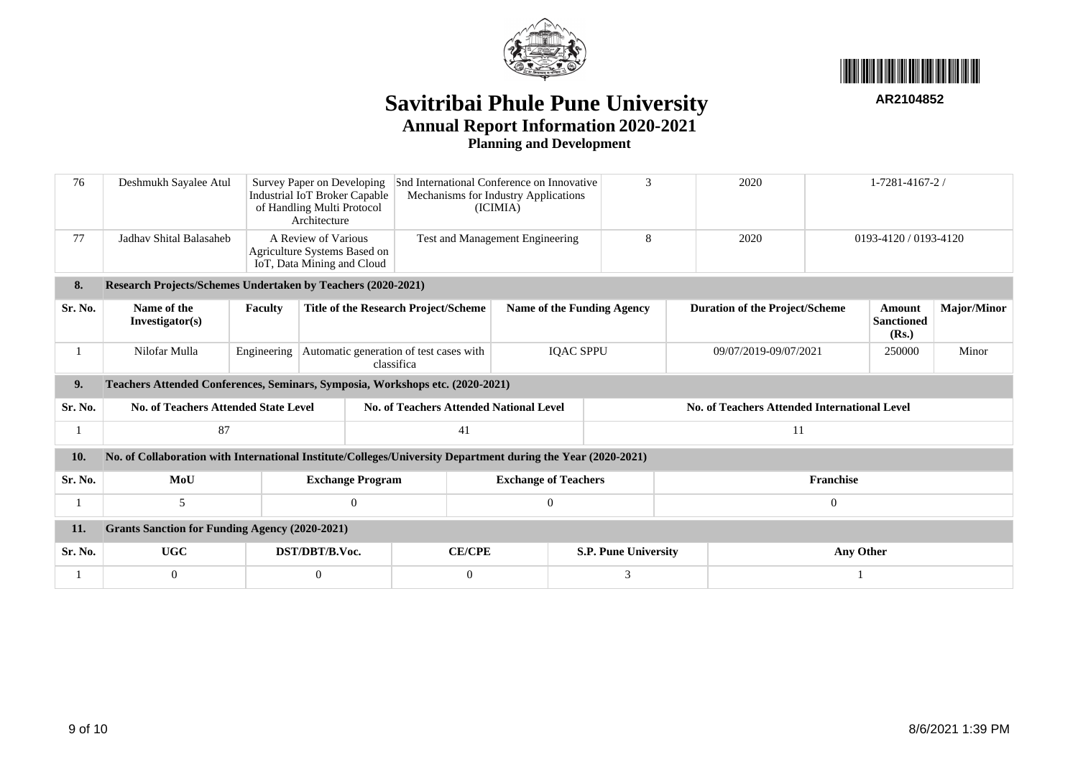



| 76      | Deshmukh Sayalee Atul                                                                                        |                                                                                   | Survey Paper on Developing<br>Industrial IoT Broker Capable<br>of Handling Multi Protocol<br>Architecture | Snd International Conference on Innovative<br>Mechanisms for Industry Applications<br>(ICIMIA) | 3                                 | 2020                        |    | $1 - 7281 - 4167 - 2$                               |                       |                                      |                    |  |
|---------|--------------------------------------------------------------------------------------------------------------|-----------------------------------------------------------------------------------|-----------------------------------------------------------------------------------------------------------|------------------------------------------------------------------------------------------------|-----------------------------------|-----------------------------|----|-----------------------------------------------------|-----------------------|--------------------------------------|--------------------|--|
| 77      | Jadhay Shital Balasaheb                                                                                      | A Review of Various<br>Agriculture Systems Based on<br>IoT, Data Mining and Cloud |                                                                                                           | Test and Management Engineering                                                                |                                   | 8                           |    | 2020                                                |                       | 0193-4120 / 0193-4120                |                    |  |
| 8.      | Research Projects/Schemes Undertaken by Teachers (2020-2021)                                                 |                                                                                   |                                                                                                           |                                                                                                |                                   |                             |    |                                                     |                       |                                      |                    |  |
| Sr. No. | Name of the<br>Investigator(s)                                                                               | <b>Faculty</b>                                                                    |                                                                                                           | <b>Title of the Research Project/Scheme</b>                                                    | <b>Name of the Funding Agency</b> |                             |    | <b>Duration of the Project/Scheme</b>               |                       | Amount<br><b>Sanctioned</b><br>(Rs.) | <b>Major/Minor</b> |  |
|         | Nilofar Mulla                                                                                                | Engineering                                                                       |                                                                                                           | Automatic generation of test cases with<br>classifica                                          |                                   | <b>IOAC SPPU</b>            |    |                                                     | 09/07/2019-09/07/2021 |                                      | Minor              |  |
| 9.      | Teachers Attended Conferences, Seminars, Symposia, Workshops etc. (2020-2021)                                |                                                                                   |                                                                                                           |                                                                                                |                                   |                             |    |                                                     |                       |                                      |                    |  |
| Sr. No. | <b>No. of Teachers Attended State Level</b>                                                                  |                                                                                   |                                                                                                           | <b>No. of Teachers Attended National Level</b>                                                 |                                   |                             |    | <b>No. of Teachers Attended International Level</b> |                       |                                      |                    |  |
|         | 87                                                                                                           |                                                                                   |                                                                                                           | 41                                                                                             |                                   |                             | 11 |                                                     |                       |                                      |                    |  |
| 10.     | No. of Collaboration with International Institute/Colleges/University Department during the Year (2020-2021) |                                                                                   |                                                                                                           |                                                                                                |                                   |                             |    |                                                     |                       |                                      |                    |  |
| Sr. No. | MoU                                                                                                          |                                                                                   | <b>Exchange Program</b>                                                                                   |                                                                                                | <b>Exchange of Teachers</b>       |                             |    | <b>Franchise</b>                                    |                       |                                      |                    |  |
|         | 5                                                                                                            |                                                                                   | $\mathbf{0}$                                                                                              |                                                                                                | $\overline{0}$                    |                             |    | $\overline{0}$                                      |                       |                                      |                    |  |
| 11.     | <b>Grants Sanction for Funding Agency (2020-2021)</b>                                                        |                                                                                   |                                                                                                           |                                                                                                |                                   |                             |    |                                                     |                       |                                      |                    |  |
| Sr. No. | <b>UGC</b>                                                                                                   |                                                                                   | DST/DBT/B.Voc.                                                                                            | <b>CE/CPE</b>                                                                                  |                                   | <b>S.P. Pune University</b> |    | Any Other                                           |                       |                                      |                    |  |
|         | $\overline{0}$                                                                                               |                                                                                   | $\overline{0}$                                                                                            | $\theta$                                                                                       |                                   | 3                           |    |                                                     |                       |                                      |                    |  |